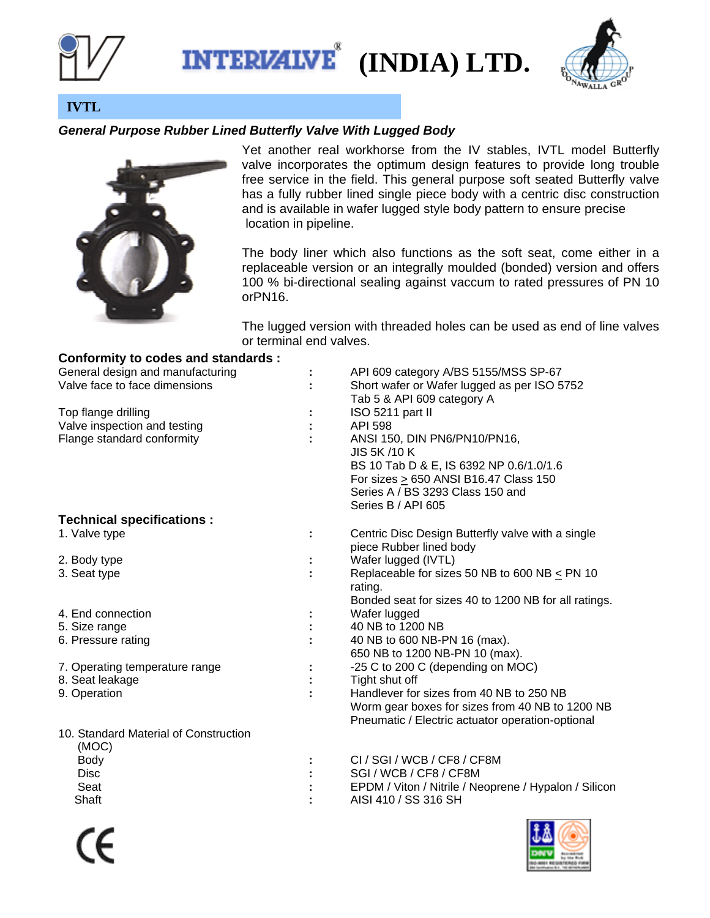

**INTERIZIVE (INDIA) LTD.** 



**IVTL** 

## *General Purpose Rubber Lined Butterfly Valve With Lugged Body*



**Conformity to codes and standards :** 

Yet another real workhorse from the IV stables, IVTL model Butterfly valve incorporates the optimum design features to provide long trouble free service in the field. This general purpose soft seated Butterfly valve has a fully rubber lined single piece body with a centric disc construction and is available in wafer lugged style body pattern to ensure precise location in pipeline.

The body liner which also functions as the soft seat, come either in a replaceable version or an integrally moulded (bonded) version and offers 100 % bi-directional sealing against vaccum to rated pressures of PN 10 orPN16.

The lugged version with threaded holes can be used as end of line valves or terminal end valves.

| General design and manufacturing<br>Valve face to face dimensions |   | API 609 category A/BS 5155/MSS SP-67<br>Short wafer or Wafer lugged as per ISO 5752<br>Tab 5 & API 609 category A                                                                         |
|-------------------------------------------------------------------|---|-------------------------------------------------------------------------------------------------------------------------------------------------------------------------------------------|
| Top flange drilling                                               |   | ISO 5211 part II                                                                                                                                                                          |
| Valve inspection and testing                                      |   | <b>API 598</b>                                                                                                                                                                            |
| Flange standard conformity                                        |   | ANSI 150, DIN PN6/PN10/PN16,<br>JIS 5K/10 K<br>BS 10 Tab D & E, IS 6392 NP 0.6/1.0/1.6<br>For sizes > 650 ANSI B16.47 Class 150<br>Series A / BS 3293 Class 150 and<br>Series B / API 605 |
| <b>Technical specifications:</b>                                  |   |                                                                                                                                                                                           |
| 1. Valve type                                                     | ÷ | Centric Disc Design Butterfly valve with a single<br>piece Rubber lined body                                                                                                              |
| 2. Body type                                                      |   | Wafer lugged (IVTL)                                                                                                                                                                       |
| 3. Seat type                                                      |   | Replaceable for sizes 50 NB to 600 NB $\leq$ PN 10<br>rating.<br>Bonded seat for sizes 40 to 1200 NB for all ratings.                                                                     |
| 4. End connection                                                 |   | Wafer lugged                                                                                                                                                                              |
| 5. Size range                                                     |   | 40 NB to 1200 NB                                                                                                                                                                          |
| 6. Pressure rating                                                |   | 40 NB to 600 NB-PN 16 (max).<br>650 NB to 1200 NB-PN 10 (max).                                                                                                                            |
| 7. Operating temperature range                                    |   | -25 C to 200 C (depending on MOC)                                                                                                                                                         |
| 8. Seat leakage                                                   |   | Tight shut off                                                                                                                                                                            |
| 9. Operation                                                      |   | Handlever for sizes from 40 NB to 250 NB<br>Worm gear boxes for sizes from 40 NB to 1200 NB<br>Pneumatic / Electric actuator operation-optional                                           |
| 10. Standard Material of Construction<br>(MOC)                    |   |                                                                                                                                                                                           |
| <b>Body</b>                                                       |   | CI / SGI / WCB / CF8 / CF8M                                                                                                                                                               |
| <b>Disc</b>                                                       |   | SGI / WCB / CF8 / CF8M                                                                                                                                                                    |
| Seat                                                              |   | EPDM / Viton / Nitrile / Neoprene / Hypalon / Silicon                                                                                                                                     |

Shaft **:** AISI 410 / SS 316 SH